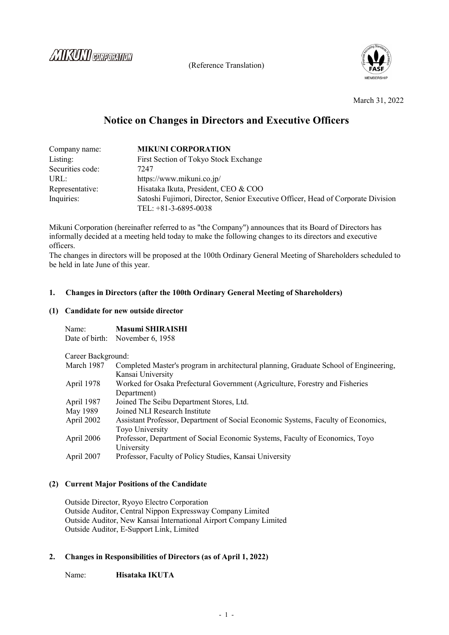*COUNTY ENTREPARTMENT* 

(Reference Translation)



March 31, 2022

# **Notice on Changes in Directors and Executive Officers**

| Company name:    | <b>MIKUNI CORPORATION</b>                                                        |  |
|------------------|----------------------------------------------------------------------------------|--|
| Listing:         | First Section of Tokyo Stock Exchange                                            |  |
| Securities code: | 7247                                                                             |  |
| URL:             | https://www.mikuni.co.jp/                                                        |  |
| Representative:  | Hisataka Ikuta, President, CEO & COO                                             |  |
| Inquiries:       | Satoshi Fujimori, Director, Senior Executive Officer, Head of Corporate Division |  |
|                  | TEL: $+81-3-6895-0038$                                                           |  |

Mikuni Corporation (hereinafter referred to as "the Company") announces that its Board of Directors has informally decided at a meeting held today to make the following changes to its directors and executive officers.

The changes in directors will be proposed at the 100th Ordinary General Meeting of Shareholders scheduled to be held in late June of this year.

## **1. Changes in Directors (after the 100th Ordinary General Meeting of Shareholders)**

#### **(1) Candidate for new outside director**

| Name: | <b>Masumi SHIRAISHI</b>         |
|-------|---------------------------------|
|       | Date of birth: November 6, 1958 |

Career Background<sup>.</sup>

| March 1987 | Completed Master's program in architectural planning, Graduate School of Engineering, |
|------------|---------------------------------------------------------------------------------------|
|            | Kansai University                                                                     |
| April 1978 | Worked for Osaka Prefectural Government (Agriculture, Forestry and Fisheries          |
|            | Department)                                                                           |
| April 1987 | Joined The Seibu Department Stores, Ltd.                                              |
| May 1989   | Joined NLI Research Institute                                                         |
| April 2002 | Assistant Professor, Department of Social Economic Systems, Faculty of Economics,     |
|            | Toyo University                                                                       |
| April 2006 | Professor, Department of Social Economic Systems, Faculty of Economics, Toyo          |
|            | University                                                                            |
| April 2007 | Professor, Faculty of Policy Studies, Kansai University                               |
|            |                                                                                       |

## **(2) Current Major Positions of the Candidate**

Outside Director, Ryoyo Electro Corporation Outside Auditor, Central Nippon Expressway Company Limited Outside Auditor, New Kansai International Airport Company Limited Outside Auditor, E-Support Link, Limited

## **2. Changes in Responsibilities of Directors (as of April 1, 2022)**

Name: **Hisataka IKUTA**